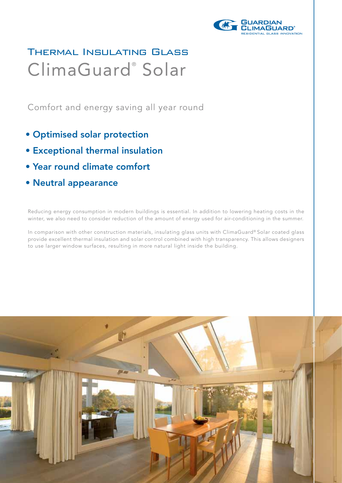

## Thermal Insulating Glass ClimaGuard<sup>®</sup> Solar

Comfort and energy saving all year round

- Optimised solar protection
- Exceptional thermal insulation
- Year round climate comfort
- Neutral appearance

Reducing energy consumption in modern buildings is essential. In addition to lowering heating costs in the winter, we also need to consider reduction of the amount of energy used for air-conditioning in the summer.

In comparison with other construction materials, insulating glass units with ClimaGuard® Solar coated glass provide excellent thermal insulation and solar control combined with high transparency. This allows designers to use larger window surfaces, resulting in more natural light inside the building.